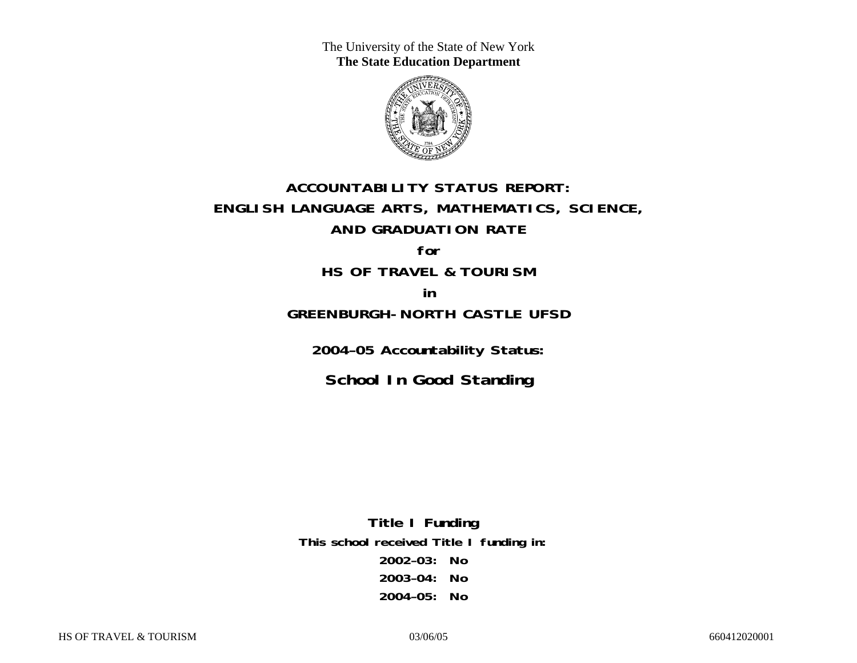The University of the State of New York **The State Education Department** 



# **ACCOUNTABILITY STATUS REPORT: ENGLISH LANGUAGE ARTS, MATHEMATICS, SCIENCE, AND GRADUATION RATE**

**for HS OF TRAVEL & TOURISM** 

**in** 

### **GREENBURGH-NORTH CASTLE UFSD**

**2004–05 Accountability Status:** 

**School In Good Standing** 

**Title I Funding This school received Title I funding in: 2002–03: No 2003–04: No 2004–05: No**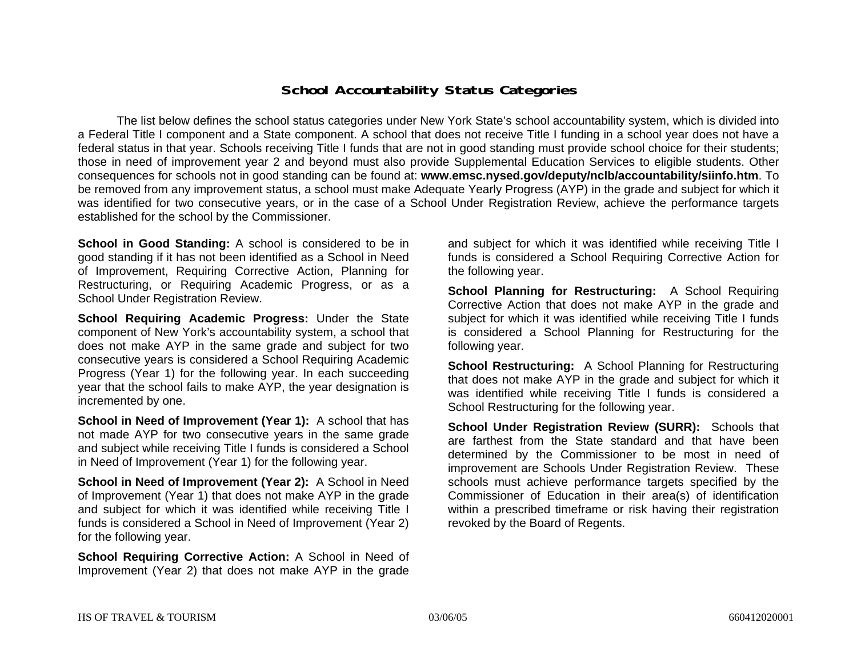### **School Accountability Status Categories**

The list below defines the school status categories under New York State's school accountability system, which is divided into a Federal Title I component and a State component. A school that does not receive Title I funding in a school year does not have a federal status in that year. Schools receiving Title I funds that are not in good standing must provide school choice for their students; those in need of improvement year 2 and beyond must also provide Supplemental Education Services to eligible students. Other consequences for schools not in good standing can be found at: **www.emsc.nysed.gov/deputy/nclb/accountability/siinfo.htm**. To be removed from any improvement status, a school must make Adequate Yearly Progress (AYP) in the grade and subject for which it was identified for two consecutive years, or in the case of a School Under Registration Review, achieve the performance targets established for the school by the Commissioner.

**School in Good Standing:** A school is considered to be in good standing if it has not been identified as a School in Need of Improvement, Requiring Corrective Action, Planning for Restructuring, or Requiring Academic Progress, or as a School Under Registration Review.

**School Requiring Academic Progress:** Under the State component of New York's accountability system, a school that does not make AYP in the same grade and subject for two consecutive years is considered a School Requiring Academic Progress (Year 1) for the following year. In each succeeding year that the school fails to make AYP, the year designation is incremented by one.

**School in Need of Improvement (Year 1):** A school that has not made AYP for two consecutive years in the same grade and subject while receiving Title I funds is considered a School in Need of Improvement (Year 1) for the following year.

**School in Need of Improvement (Year 2):** A School in Need of Improvement (Year 1) that does not make AYP in the grade and subject for which it was identified while receiving Title I funds is considered a School in Need of Improvement (Year 2) for the following year.

**School Requiring Corrective Action:** A School in Need of Improvement (Year 2) that does not make AYP in the grade

and subject for which it was identified while receiving Title I funds is considered a School Requiring Corrective Action for the following year.

**School Planning for Restructuring:** A School Requiring Corrective Action that does not make AYP in the grade and subject for which it was identified while receiving Title I funds is considered a School Planning for Restructuring for the following year.

**School Restructuring:** A School Planning for Restructuring that does not make AYP in the grade and subject for which it was identified while receiving Title I funds is considered a School Restructuring for the following year.

**School Under Registration Review (SURR):** Schools that are farthest from the State standard and that have been determined by the Commissioner to be most in need of improvement are Schools Under Registration Review. These schools must achieve performance targets specified by the Commissioner of Education in their area(s) of identification within a prescribed timeframe or risk having their registration revoked by the Board of Regents.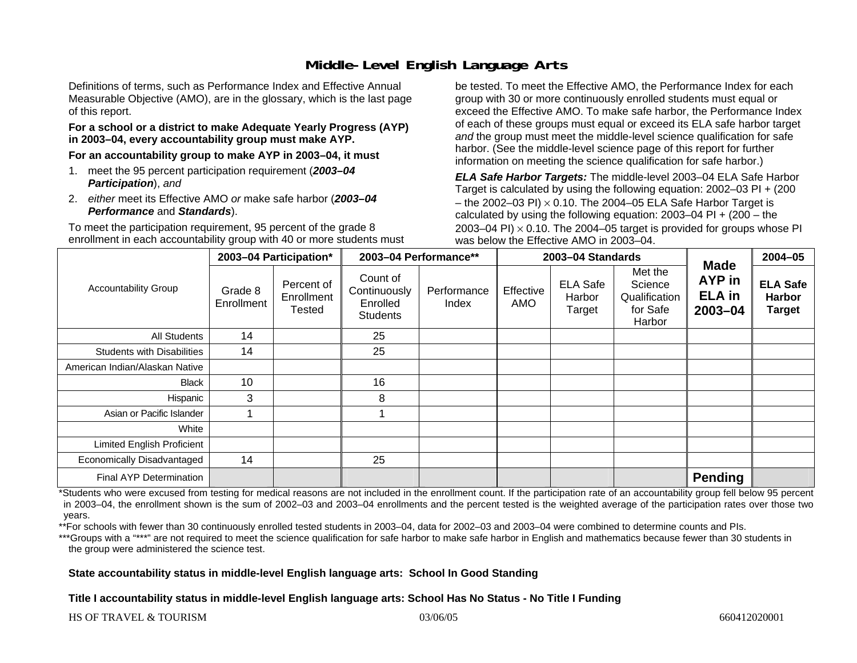# **Middle-Level English Language Arts**

Definitions of terms, such as Performance Index and Effective Annual Measurable Objective (AMO), are in the glossary, which is the last page of this report.

#### **For a school or a district to make Adequate Yearly Progress (AYP) in 2003–04, every accountability group must make AYP.**

**For an accountability group to make AYP in 2003–04, it must** 

- 1. meet the 95 percent participation requirement (*2003–04 Participation*), *and*
- 2. *either* meet its Effective AMO *or* make safe harbor (*2003–04 Performance* and *Standards*).

To meet the participation requirement, 95 percent of the grade 8 enrollment in each accountability group with 40 or more students must be tested. To meet the Effective AMO, the Performance Index for each group with 30 or more continuously enrolled students must equal or exceed the Effective AMO. To make safe harbor, the Performance Index of each of these groups must equal or exceed its ELA safe harbor target *and* the group must meet the middle-level science qualification for safe harbor. (See the middle-level science page of this report for further information on meeting the science qualification for safe harbor.)

*ELA Safe Harbor Targets:* The middle-level 2003–04 ELA Safe Harbor Target is calculated by using the following equation: 2002–03 PI + (200 – the 2002–03 PI)  $\times$  0.10. The 2004–05 ELA Safe Harbor Target is calculated by using the following equation:  $2003-04$  PI +  $(200 -$  the 2003–04 PI)  $\times$  0.10. The 2004–05 target is provided for groups whose PI was below the Effective AMO in 2003–04.

| <b>Accountability Group</b>       | 2003-04 Participation* |                                           | 2003-04 Performance**                                   |                      |                  | 2003-04 Standards                   |                                                           | $2004 - 05$                                                  |                                                   |
|-----------------------------------|------------------------|-------------------------------------------|---------------------------------------------------------|----------------------|------------------|-------------------------------------|-----------------------------------------------------------|--------------------------------------------------------------|---------------------------------------------------|
|                                   | Grade 8<br>Enrollment  | Percent of<br>Enrollment<br><b>Tested</b> | Count of<br>Continuously<br>Enrolled<br><b>Students</b> | Performance<br>Index | Effective<br>AMO | <b>ELA Safe</b><br>Harbor<br>Target | Met the<br>Science<br>Qualification<br>for Safe<br>Harbor | <b>Made</b><br><b>AYP</b> in<br><b>ELA</b> in<br>$2003 - 04$ | <b>ELA Safe</b><br><b>Harbor</b><br><b>Target</b> |
| All Students                      | 14                     |                                           | 25                                                      |                      |                  |                                     |                                                           |                                                              |                                                   |
| <b>Students with Disabilities</b> | 14                     |                                           | 25                                                      |                      |                  |                                     |                                                           |                                                              |                                                   |
| American Indian/Alaskan Native    |                        |                                           |                                                         |                      |                  |                                     |                                                           |                                                              |                                                   |
| Black                             | 10                     |                                           | 16                                                      |                      |                  |                                     |                                                           |                                                              |                                                   |
| Hispanic                          | 3                      |                                           | 8                                                       |                      |                  |                                     |                                                           |                                                              |                                                   |
| Asian or Pacific Islander         |                        |                                           |                                                         |                      |                  |                                     |                                                           |                                                              |                                                   |
| White                             |                        |                                           |                                                         |                      |                  |                                     |                                                           |                                                              |                                                   |
| Limited English Proficient        |                        |                                           |                                                         |                      |                  |                                     |                                                           |                                                              |                                                   |
| Economically Disadvantaged        | 14                     |                                           | 25                                                      |                      |                  |                                     |                                                           |                                                              |                                                   |
| <b>Final AYP Determination</b>    |                        |                                           |                                                         |                      |                  |                                     |                                                           | <b>Pending</b>                                               |                                                   |

\*Students who were excused from testing for medical reasons are not included in the enrollment count. If the participation rate of an accountability group fell below 95 percent in 2003–04, the enrollment shown is the sum of 2002–03 and 2003–04 enrollments and the percent tested is the weighted average of the participation rates over those two years.

\*\*For schools with fewer than 30 continuously enrolled tested students in 2003–04, data for 2002–03 and 2003–04 were combined to determine counts and PIs.

\*\*\*Groups with a "\*\*\*" are not required to meet the science qualification for safe harbor to make safe harbor in English and mathematics because fewer than 30 students in the group were administered the science test.

#### **State accountability status in middle-level English language arts: School In Good Standing**

#### **Title I accountability status in middle-level English language arts: School Has No Status - No Title I Funding**

HS OF TRAVEL & TOURISM 03/06/05 660412020001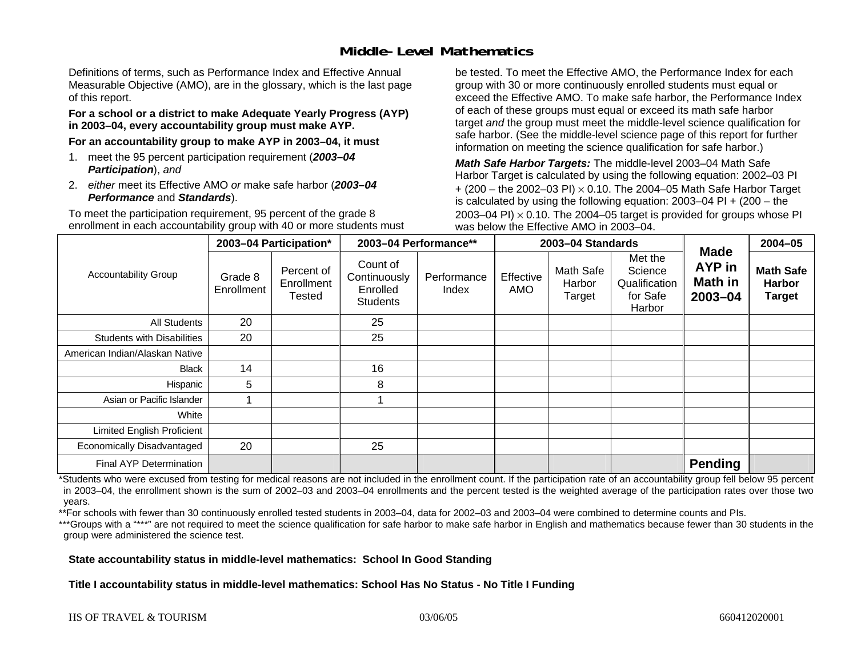# **Middle-Level Mathematics**

Definitions of terms, such as Performance Index and Effective Annual Measurable Objective (AMO), are in the glossary, which is the last page of this report.

#### **For a school or a district to make Adequate Yearly Progress (AYP) in 2003–04, every accountability group must make AYP.**

**For an accountability group to make AYP in 2003–04, it must** 

- 1. meet the 95 percent participation requirement (*2003–04 Participation*), *and*
- 2. *either* meet its Effective AMO *or* make safe harbor (*2003–04 Performance* and *Standards*).

To meet the participation requirement, 95 percent of the grade 8 enrollment in each accountability group with 40 or more students must be tested. To meet the Effective AMO, the Performance Index for each group with 30 or more continuously enrolled students must equal or exceed the Effective AMO. To make safe harbor, the Performance Index of each of these groups must equal or exceed its math safe harbor target *and* the group must meet the middle-level science qualification for safe harbor. (See the middle-level science page of this report for further information on meeting the science qualification for safe harbor.)

*Math Safe Harbor Targets:* The middle-level 2003–04 Math Safe Harbor Target is calculated by using the following equation: 2002–03 PI + (200 – the 2002–03 PI) <sup>×</sup> 0.10. The 2004–05 Math Safe Harbor Target is calculated by using the following equation: 2003–04 PI + (200 – the 2003–04 PI)  $\times$  0.10. The 2004–05 target is provided for groups whose PI was below the Effective AMO in 2003–04.

|                                   |                       | 2003-04 Participation*                    |                                                         | 2003-04 Performance** |                  | 2003-04 Standards             |                                                           | $2004 - 05$                                        |                                                    |
|-----------------------------------|-----------------------|-------------------------------------------|---------------------------------------------------------|-----------------------|------------------|-------------------------------|-----------------------------------------------------------|----------------------------------------------------|----------------------------------------------------|
| <b>Accountability Group</b>       | Grade 8<br>Enrollment | Percent of<br>Enrollment<br><b>Tested</b> | Count of<br>Continuously<br>Enrolled<br><b>Students</b> | Performance<br>Index  | Effective<br>AMO | Math Safe<br>Harbor<br>Target | Met the<br>Science<br>Qualification<br>for Safe<br>Harbor | <b>Made</b><br><b>AYP</b> in<br>Math in<br>2003-04 | <b>Math Safe</b><br><b>Harbor</b><br><b>Target</b> |
| <b>All Students</b>               | 20                    |                                           | 25                                                      |                       |                  |                               |                                                           |                                                    |                                                    |
| <b>Students with Disabilities</b> | 20                    |                                           | 25                                                      |                       |                  |                               |                                                           |                                                    |                                                    |
| American Indian/Alaskan Native    |                       |                                           |                                                         |                       |                  |                               |                                                           |                                                    |                                                    |
| Black                             | 14                    |                                           | 16                                                      |                       |                  |                               |                                                           |                                                    |                                                    |
| Hispanic                          | 5                     |                                           | 8                                                       |                       |                  |                               |                                                           |                                                    |                                                    |
| Asian or Pacific Islander         |                       |                                           |                                                         |                       |                  |                               |                                                           |                                                    |                                                    |
| White                             |                       |                                           |                                                         |                       |                  |                               |                                                           |                                                    |                                                    |
| Limited English Proficient        |                       |                                           |                                                         |                       |                  |                               |                                                           |                                                    |                                                    |
| Economically Disadvantaged        | 20                    |                                           | 25                                                      |                       |                  |                               |                                                           |                                                    |                                                    |
| <b>Final AYP Determination</b>    |                       |                                           |                                                         |                       |                  |                               |                                                           | <b>Pending</b>                                     |                                                    |

\*Students who were excused from testing for medical reasons are not included in the enrollment count. If the participation rate of an accountability group fell below 95 percent in 2003–04, the enrollment shown is the sum of 2002–03 and 2003–04 enrollments and the percent tested is the weighted average of the participation rates over those two years.

\*\*For schools with fewer than 30 continuously enrolled tested students in 2003–04, data for 2002–03 and 2003–04 were combined to determine counts and PIs.

\*\*\*Groups with a "\*\*\*" are not required to meet the science qualification for safe harbor to make safe harbor in English and mathematics because fewer than 30 students in the group were administered the science test.

#### **State accountability status in middle-level mathematics: School In Good Standing**

**Title I accountability status in middle-level mathematics: School Has No Status - No Title I Funding**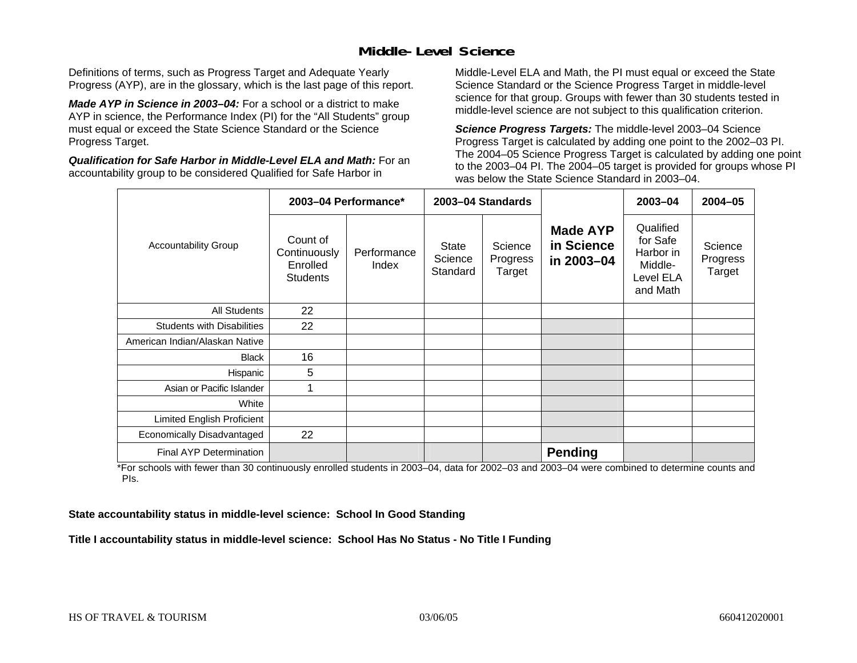# **Middle-Level Science**

Definitions of terms, such as Progress Target and Adequate Yearly Progress (AYP), are in the glossary, which is the last page of this report.

*Made AYP in Science in 2003–04:* For a school or a district to make AYP in science, the Performance Index (PI) for the "All Students" group must equal or exceed the State Science Standard or the Science Progress Target.

*Qualification for Safe Harbor in Middle-Level ELA and Math:* For an accountability group to be considered Qualified for Safe Harbor in

Middle-Level ELA and Math, the PI must equal or exceed the State Science Standard or the Science Progress Target in middle-level science for that group. Groups with fewer than 30 students tested in middle-level science are not subject to this qualification criterion.

*Science Progress Targets:* The middle-level 2003–04 Science Progress Target is calculated by adding one point to the 2002–03 PI. The 2004–05 Science Progress Target is calculated by adding one point to the 2003–04 PI. The 2004–05 target is provided for groups whose PI was below the State Science Standard in 2003–04.

|                                   |                                                         | 2003-04 Performance* |                                     | 2003-04 Standards             |                                             | 2003-04                                                                | $2004 - 05$                   |
|-----------------------------------|---------------------------------------------------------|----------------------|-------------------------------------|-------------------------------|---------------------------------------------|------------------------------------------------------------------------|-------------------------------|
| <b>Accountability Group</b>       | Count of<br>Continuously<br>Enrolled<br><b>Students</b> | Performance<br>Index | <b>State</b><br>Science<br>Standard | Science<br>Progress<br>Target | <b>Made AYP</b><br>in Science<br>in 2003-04 | Qualified<br>for Safe<br>Harbor in<br>Middle-<br>Level ELA<br>and Math | Science<br>Progress<br>Target |
| <b>All Students</b>               | 22                                                      |                      |                                     |                               |                                             |                                                                        |                               |
| <b>Students with Disabilities</b> | 22                                                      |                      |                                     |                               |                                             |                                                                        |                               |
| American Indian/Alaskan Native    |                                                         |                      |                                     |                               |                                             |                                                                        |                               |
| <b>Black</b>                      | 16                                                      |                      |                                     |                               |                                             |                                                                        |                               |
| Hispanic                          | 5                                                       |                      |                                     |                               |                                             |                                                                        |                               |
| Asian or Pacific Islander         | 1                                                       |                      |                                     |                               |                                             |                                                                        |                               |
| White                             |                                                         |                      |                                     |                               |                                             |                                                                        |                               |
| Limited English Proficient        |                                                         |                      |                                     |                               |                                             |                                                                        |                               |
| Economically Disadvantaged        | 22                                                      |                      |                                     |                               |                                             |                                                                        |                               |
| <b>Final AYP Determination</b>    |                                                         |                      |                                     |                               | <b>Pending</b>                              |                                                                        |                               |

\*For schools with fewer than 30 continuously enrolled students in 2003–04, data for 2002–03 and 2003–04 were combined to determine counts and PIs.

**State accountability status in middle-level science: School In Good Standing** 

**Title I accountability status in middle-level science: School Has No Status - No Title I Funding**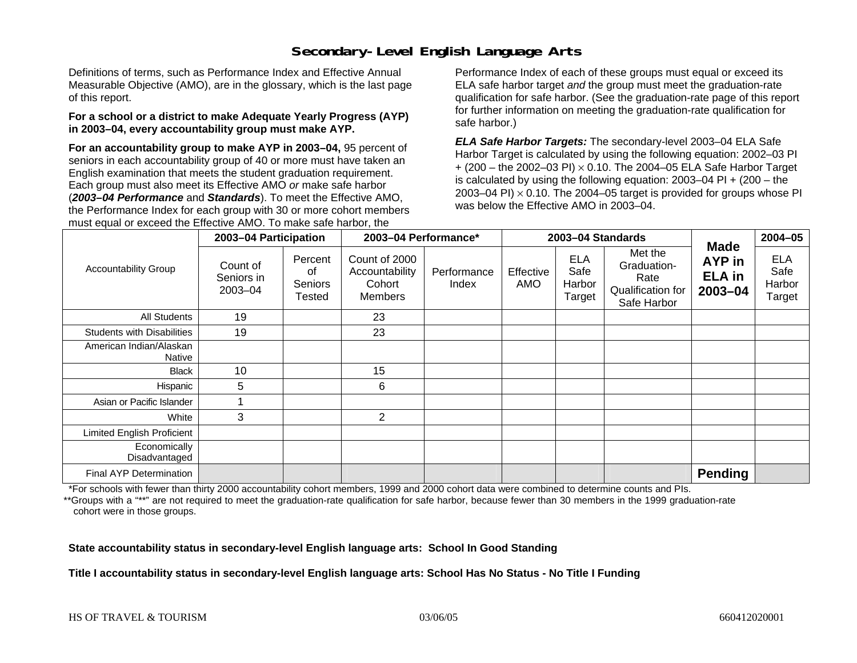# **Secondary-Level English Language Arts**

Definitions of terms, such as Performance Index and Effective Annual Measurable Objective (AMO), are in the glossary, which is the last page of this report.

#### **For a school or a district to make Adequate Yearly Progress (AYP) in 2003–04, every accountability group must make AYP.**

**For an accountability group to make AYP in 2003–04,** 95 percent of seniors in each accountability group of 40 or more must have taken an English examination that meets the student graduation requirement. Each group must also meet its Effective AMO *or* make safe harbor (*2003–04 Performance* and *Standards*). To meet the Effective AMO, the Performance Index for each group with 30 or more cohort members must equal or exceed the Effective AMO. To make safe harbor, the

Performance Index of each of these groups must equal or exceed its ELA safe harbor target *and* the group must meet the graduation-rate qualification for safe harbor. (See the graduation-rate page of this report for further information on meeting the graduation-rate qualification for safe harbor.)

*ELA Safe Harbor Targets:* The secondary-level 2003–04 ELA Safe Harbor Target is calculated by using the following equation: 2002–03 PI + (200 – the 2002–03 PI) <sup>×</sup> 0.10. The 2004–05 ELA Safe Harbor Target is calculated by using the following equation: 2003–04 PI + (200 – the 2003–04 PI)  $\times$  0.10. The 2004–05 target is provided for groups whose PI was below the Effective AMO in 2003–04.

|                                   | 2003-04 Participation             |                                           | 2003-04 Performance*                                 |                      |                  | 2003-04 Standards                      | <b>Made</b>                                                        | $2004 - 05$                            |                                        |
|-----------------------------------|-----------------------------------|-------------------------------------------|------------------------------------------------------|----------------------|------------------|----------------------------------------|--------------------------------------------------------------------|----------------------------------------|----------------------------------------|
| <b>Accountability Group</b>       | Count of<br>Seniors in<br>2003-04 | Percent<br>οf<br><b>Seniors</b><br>Tested | Count of 2000<br>Accountability<br>Cohort<br>Members | Performance<br>Index | Effective<br>AMO | <b>ELA</b><br>Safe<br>Harbor<br>Target | Met the<br>Graduation-<br>Rate<br>Qualification for<br>Safe Harbor | AYP in<br><b>ELA</b> in<br>$2003 - 04$ | <b>ELA</b><br>Safe<br>Harbor<br>Target |
| <b>All Students</b>               | 19                                |                                           | 23                                                   |                      |                  |                                        |                                                                    |                                        |                                        |
| <b>Students with Disabilities</b> | 19                                |                                           | 23                                                   |                      |                  |                                        |                                                                    |                                        |                                        |
| American Indian/Alaskan<br>Native |                                   |                                           |                                                      |                      |                  |                                        |                                                                    |                                        |                                        |
| <b>Black</b>                      | 10                                |                                           | 15                                                   |                      |                  |                                        |                                                                    |                                        |                                        |
| Hispanic                          | 5                                 |                                           | 6                                                    |                      |                  |                                        |                                                                    |                                        |                                        |
| Asian or Pacific Islander         |                                   |                                           |                                                      |                      |                  |                                        |                                                                    |                                        |                                        |
| White                             | 3                                 |                                           | $\overline{2}$                                       |                      |                  |                                        |                                                                    |                                        |                                        |
| Limited English Proficient        |                                   |                                           |                                                      |                      |                  |                                        |                                                                    |                                        |                                        |
| Economically<br>Disadvantaged     |                                   |                                           |                                                      |                      |                  |                                        |                                                                    |                                        |                                        |
| <b>Final AYP Determination</b>    |                                   |                                           |                                                      |                      |                  |                                        |                                                                    | <b>Pending</b>                         |                                        |

\*For schools with fewer than thirty 2000 accountability cohort members, 1999 and 2000 cohort data were combined to determine counts and PIs.

\*\*Groups with a "\*\*" are not required to meet the graduation-rate qualification for safe harbor, because fewer than 30 members in the 1999 graduation-rate cohort were in those groups.

**State accountability status in secondary-level English language arts: School In Good Standing** 

**Title I accountability status in secondary-level English language arts: School Has No Status - No Title I Funding**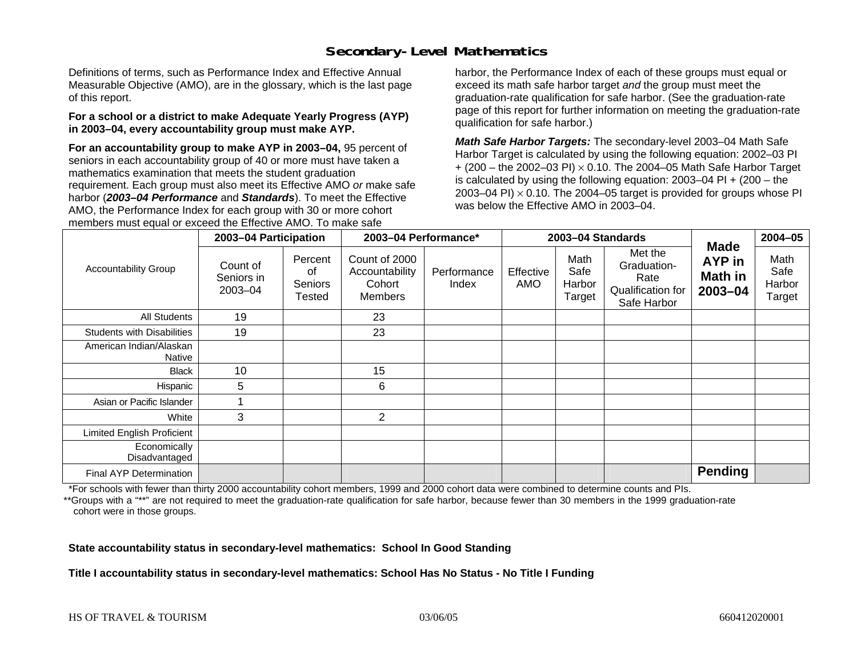# **Secondary-Level Mathematics**

Definitions of terms, such as Performance Index and Effective Annual Measurable Objective (AMO), are in the glossary, which is the last page of this report.

#### **For a school or a district to make Adequate Yearly Progress (AYP) in 2003–04, every accountability group must make AYP.**

**For an accountability group to make AYP in 2003–04,** 95 percent of seniors in each accountability group of 40 or more must have taken a mathematics examination that meets the student graduation requirement. Each group must also meet its Effective AMO *or* make safe harbor (*2003–04 Performance* and *Standards*). To meet the Effective AMO, the Performance Index for each group with 30 or more cohort members must equal or exceed the Effective AMO. To make safe

harbor, the Performance Index of each of these groups must equal or exceed its math safe harbor target *and* the group must meet the graduation-rate qualification for safe harbor. (See the graduation-rate page of this report for further information on meeting the graduation-rate qualification for safe harbor.)

*Math Safe Harbor Targets:* The secondary-level 2003–04 Math Safe Harbor Target is calculated by using the following equation: 2002–03 PI + (200 – the 2002–03 PI) <sup>×</sup> 0.10. The 2004–05 Math Safe Harbor Target is calculated by using the following equation: 2003–04 PI + (200 – the 2003–04 PI)  $\times$  0.10. The 2004–05 target is provided for groups whose PI was below the Effective AMO in 2003–04.

|                                   | 2003-04 Participation             |                                    | 2003-04 Performance*                                        |                      |                  | 2003-04 Standards                | <b>Made</b>                                                        | $2004 - 05$                  |                                  |
|-----------------------------------|-----------------------------------|------------------------------------|-------------------------------------------------------------|----------------------|------------------|----------------------------------|--------------------------------------------------------------------|------------------------------|----------------------------------|
| <b>Accountability Group</b>       | Count of<br>Seniors in<br>2003-04 | Percent<br>οf<br>Seniors<br>Tested | Count of 2000<br>Accountability<br>Cohort<br><b>Members</b> | Performance<br>Index | Effective<br>AMO | Math<br>Safe<br>Harbor<br>Target | Met the<br>Graduation-<br>Rate<br>Qualification for<br>Safe Harbor | AYP in<br>Math in<br>2003-04 | Math<br>Safe<br>Harbor<br>Target |
| All Students                      | 19                                |                                    | 23                                                          |                      |                  |                                  |                                                                    |                              |                                  |
| <b>Students with Disabilities</b> | 19                                |                                    | 23                                                          |                      |                  |                                  |                                                                    |                              |                                  |
| American Indian/Alaskan<br>Native |                                   |                                    |                                                             |                      |                  |                                  |                                                                    |                              |                                  |
| <b>Black</b>                      | 10                                |                                    | 15                                                          |                      |                  |                                  |                                                                    |                              |                                  |
| Hispanic                          | 5                                 |                                    | 6                                                           |                      |                  |                                  |                                                                    |                              |                                  |
| Asian or Pacific Islander         |                                   |                                    |                                                             |                      |                  |                                  |                                                                    |                              |                                  |
| White                             | 3                                 |                                    | $\overline{2}$                                              |                      |                  |                                  |                                                                    |                              |                                  |
| <b>Limited English Proficient</b> |                                   |                                    |                                                             |                      |                  |                                  |                                                                    |                              |                                  |
| Economically<br>Disadvantaged     |                                   |                                    |                                                             |                      |                  |                                  |                                                                    |                              |                                  |
| Final AYP Determination           |                                   |                                    |                                                             |                      |                  |                                  |                                                                    | <b>Pending</b>               |                                  |

\*For schools with fewer than thirty 2000 accountability cohort members, 1999 and 2000 cohort data were combined to determine counts and PIs.

\*\*Groups with a "\*\*" are not required to meet the graduation-rate qualification for safe harbor, because fewer than 30 members in the 1999 graduation-rate cohort were in those groups.

**State accountability status in secondary-level mathematics: School In Good Standing** 

**Title I accountability status in secondary-level mathematics: School Has No Status - No Title I Funding**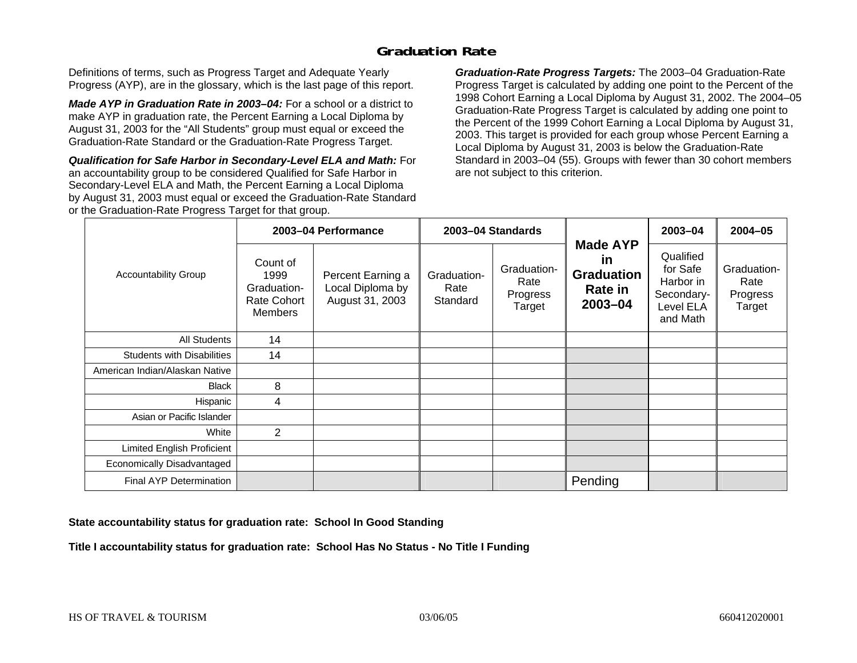# **Graduation Rate**

Definitions of terms, such as Progress Target and Adequate Yearly Progress (AYP), are in the glossary, which is the last page of this report.

*Made AYP in Graduation Rate in 2003–04:* For a school or a district to make AYP in graduation rate, the Percent Earning a Local Diploma by August 31, 2003 for the "All Students" group must equal or exceed the Graduation-Rate Standard or the Graduation-Rate Progress Target.

*Qualification for Safe Harbor in Secondary-Level ELA and Math:* For an accountability group to be considered Qualified for Safe Harbor in Secondary-Level ELA and Math, the Percent Earning a Local Diploma by August 31, 2003 must equal or exceed the Graduation-Rate Standard or the Graduation-Rate Progress Target for that group.

*Graduation-Rate Progress Targets:* The 2003–04 Graduation-Rate Progress Target is calculated by adding one point to the Percent of the 1998 Cohort Earning a Local Diploma by August 31, 2002. The 2004–05 Graduation-Rate Progress Target is calculated by adding one point to the Percent of the 1999 Cohort Earning a Local Diploma by August 31, 2003. This target is provided for each group whose Percent Earning a Local Diploma by August 31, 2003 is below the Graduation-Rate Standard in 2003–04 (55). Groups with fewer than 30 cohort members are not subject to this criterion.

|                                   |                                                                  | 2003-04 Performance                                      |                                 | 2003-04 Standards                         |                                                                                    | $2003 - 04$                                                               | 2004-05                                   |
|-----------------------------------|------------------------------------------------------------------|----------------------------------------------------------|---------------------------------|-------------------------------------------|------------------------------------------------------------------------------------|---------------------------------------------------------------------------|-------------------------------------------|
| <b>Accountability Group</b>       | Count of<br>1999<br>Graduation-<br>Rate Cohort<br><b>Members</b> | Percent Earning a<br>Local Diploma by<br>August 31, 2003 | Graduation-<br>Rate<br>Standard | Graduation-<br>Rate<br>Progress<br>Target | <b>Made AYP</b><br><u>in</u><br><b>Graduation</b><br><b>Rate in</b><br>$2003 - 04$ | Qualified<br>for Safe<br>Harbor in<br>Secondary-<br>Level ELA<br>and Math | Graduation-<br>Rate<br>Progress<br>Target |
| <b>All Students</b>               | 14                                                               |                                                          |                                 |                                           |                                                                                    |                                                                           |                                           |
| <b>Students with Disabilities</b> | 14                                                               |                                                          |                                 |                                           |                                                                                    |                                                                           |                                           |
| American Indian/Alaskan Native    |                                                                  |                                                          |                                 |                                           |                                                                                    |                                                                           |                                           |
| <b>Black</b>                      | 8                                                                |                                                          |                                 |                                           |                                                                                    |                                                                           |                                           |
| Hispanic                          | 4                                                                |                                                          |                                 |                                           |                                                                                    |                                                                           |                                           |
| Asian or Pacific Islander         |                                                                  |                                                          |                                 |                                           |                                                                                    |                                                                           |                                           |
| White                             | $\overline{2}$                                                   |                                                          |                                 |                                           |                                                                                    |                                                                           |                                           |
| Limited English Proficient        |                                                                  |                                                          |                                 |                                           |                                                                                    |                                                                           |                                           |
| Economically Disadvantaged        |                                                                  |                                                          |                                 |                                           |                                                                                    |                                                                           |                                           |
| <b>Final AYP Determination</b>    |                                                                  |                                                          |                                 |                                           | Pending                                                                            |                                                                           |                                           |

**State accountability status for graduation rate: School In Good Standing** 

**Title I accountability status for graduation rate: School Has No Status - No Title I Funding**